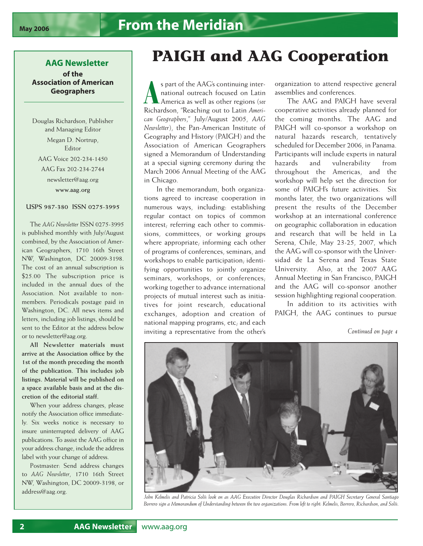## **AAG Newsletter of the**

**Association of American Geographers**

Douglas Richardson, Publisher and Managing Editor Megan D. Nortrup, Editor AAG Voice 202-234-1450 AAG Fax 202-234-2744 newsletter@aag.org **www.aag.org**

## **USPS 987-380 ISSN 0275-3995**

The *AAG Newsletter* ISSN 0275-3995 is published monthly with July/August combined, by the Association of American Geographers, 1710 16th Street NW, Washington, DC 20009-3198. The cost of an annual subscription is \$25.00 The subscription price is included in the annual dues of the Association. Not available to nonmembers. Periodicals postage paid in Washington, DC. All news items and letters, including job listings, should be sent to the Editor at the address below or to newsletter@aag.org.

**All Newsletter materials must arrive at the Association office by the 1st of the month preceding the month of the publication. This includes job listings. Material will be published on a space available basis and at the discretion of the editorial staff.**

When your address changes, please notify the Association office immediately. Six weeks notice is necessary to insure uninterrupted delivery of AAG publications. To assist the AAG office in your address change, include the address label with your change of address.

Postmaster: Send address changes to *AAG Newsletter*, 1710 16th Street NW, Washington, DC 20009-3198, or address@aag.org.

## **PAIGH and AAG Cooperation**

s part of the AAG's continuing inter-<br>
national outreach focused on Latin<br> *America as well as other regions (see*<br>
Richardson, "Reaching out to Latin *Ameri*s part of the AAG's continuing international outreach focused on Latin America as well as other regions (*see can Geographers*," July/August 2005, *AAG Newsletter*), the Pan-American Institute of Geography and History (PAIGH) and the Association of American Geographers signed a Memorandum of Understanding at a special signing ceremony during the March 2006 Annual Meeting of the AAG in Chicago.

In the memorandum, both organizations agreed to increase cooperation in numerous ways, including: establishing regular contact on topics of common interest; referring each other to commissions, committees, or working groups where appropriate; informing each other of programs of conferences, seminars, and workshops to enable participation; identifying opportunities to jointly organize seminars, workshops, or conferences; working together to advance international projects of mutual interest such as initiatives for joint research, educational exchanges, adoption and creation of national mapping programs, etc; and each inviting a representative from the other's

organization to attend respective general assemblies and conferences.

The AAG and PAIGH have several cooperative activities already planned for the coming months. The AAG and PAIGH will co-sponsor a workshop on natural hazards research, tentatively scheduled for December 2006, in Panama. Participants will include experts in natural hazards and vulnerability from throughout the Americas, and the workshop will help set the direction for some of PAIGH's future activities. Six months later, the two organizations will present the results of the December workshop at an international conference on geographic collaboration in education and research that will be held in La Serena, Chile, May 23-25, 2007, which the AAG will co-sponsor with the Universidad de La Serena and Texas State University. Also, at the 2007 AAG Annual Meeting in San Francisco, PAIGH and the AAG will co-sponsor another session highlighting regional cooperation.

In addition to its activities with PAIGH, the AAG continues to pursue

*Continued on page 4*



*John Kelmelis and Patricia Solís look on as AAG Executive Director Douglas Richardson and PAIGH Secretary General Santiago Borrero sign a Memorandum of Understanding between the two organizations. From left to right: Kelmelis, Borrero, Richardson, and Solís.*